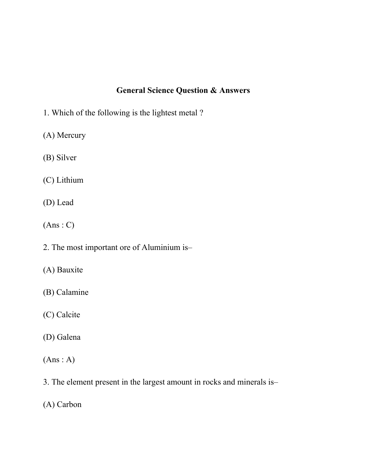## **General Science Question & Answers**

- 1. Which of the following is the lightest metal ?
- (A) Mercury
- (B) Silver
- (C) Lithium
- (D) Lead
- $(Ans: C)$
- 2. The most important ore of Aluminium is–
- (A) Bauxite
- (B) Calamine
- (C) Calcite
- (D) Galena
- $(Ans : A)$
- 3. The element present in the largest amount in rocks and minerals is–
- (A) Carbon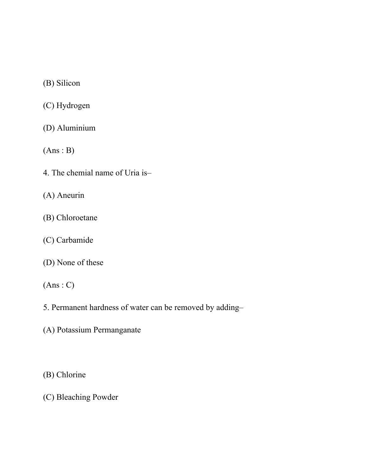(B) Silicon

(C) Hydrogen

(D) Aluminium

 $(Ans : B)$ 

4. The chemial name of Uria is–

(A) Aneurin

(B) Chloroetane

(C) Carbamide

(D) None of these

 $(Ans: C)$ 

- 5. Permanent hardness of water can be removed by adding–
- (A) Potassium Permanganate

(B) Chlorine

(C) Bleaching Powder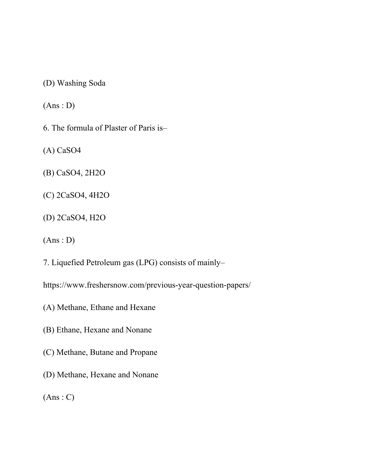(D) Washing Soda

 $(Ans : D)$ 

6. The formula of Plaster of Paris is–

(A) CaSO4

(B) CaSO4, 2H2O

(C) 2CaSO4, 4H2O

(D) 2CaSO4, H2O

 $(Ans : D)$ 

7. Liquefied Petroleum gas (LPG) consists of mainly–

<https://www.freshersnow.com/previous-year-question-papers/>

(A) Methane, Ethane and Hexane

(B) Ethane, Hexane and Nonane

(C) Methane, Butane and Propane

(D) Methane, Hexane and Nonane

 $(Ans: C)$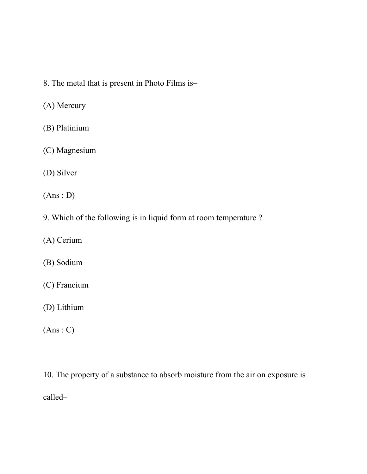- 8. The metal that is present in Photo Films is–
- (A) Mercury
- (B) Platinium
- (C) Magnesium
- (D) Silver
- $(Ans: D)$
- 9. Which of the following is in liquid form at room temperature ?
- (A) Cerium
- (B) Sodium
- (C) Francium
- (D) Lithium
- $(Ans: C)$
- 10. The property of a substance to absorb moisture from the air on exposure is called–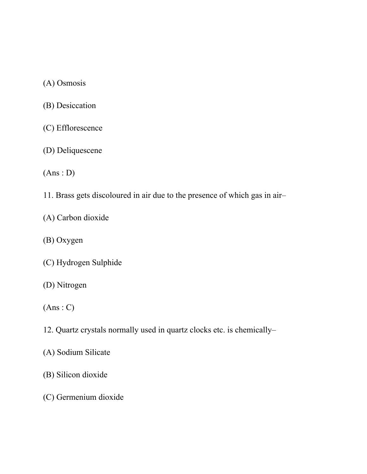(A) Osmosis

- (B) Desiccation
- (C) Efflorescence
- (D) Deliquescene

(Ans : D)

- 11. Brass gets discoloured in air due to the presence of which gas in air–
- (A) Carbon dioxide
- (B) Oxygen
- (C) Hydrogen Sulphide
- (D) Nitrogen
- $(Ans: C)$
- 12. Quartz crystals normally used in quartz clocks etc. is chemically–
- (A) Sodium Silicate
- (B) Silicon dioxide
- (C) Germenium dioxide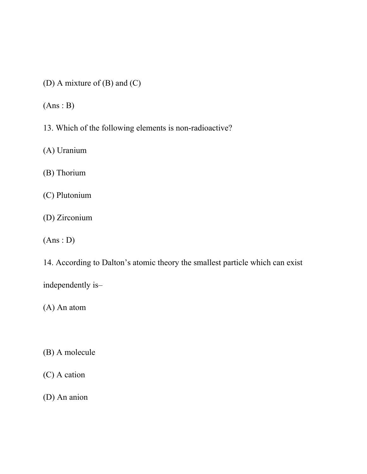(D) A mixture of (B) and (C)

 $(Ans : B)$ 

13. Which of the following elements is non-radioactive?

(A) Uranium

(B) Thorium

(C) Plutonium

(D) Zirconium

 $(Ans: D)$ 

14. According to Dalton's atomic theory the smallest particle which can exist

independently is–

(A) An atom

(B) A molecule

(C) A cation

(D) An anion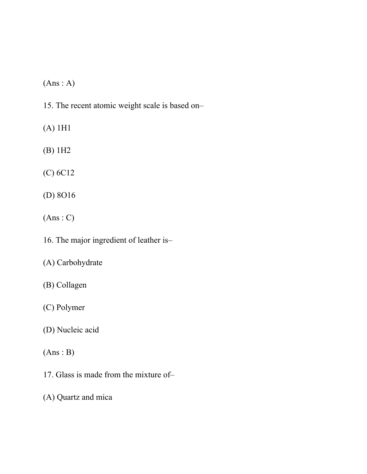$(Ans : A)$ 

15. The recent atomic weight scale is based on–

(A) 1H1

(B) 1H2

(C) 6C12

(D) 8O16

(Ans : C)

16. The major ingredient of leather is–

(A) Carbohydrate

(B) Collagen

(C) Polymer

(D) Nucleic acid

(Ans : B)

17. Glass is made from the mixture of–

(A) Quartz and mica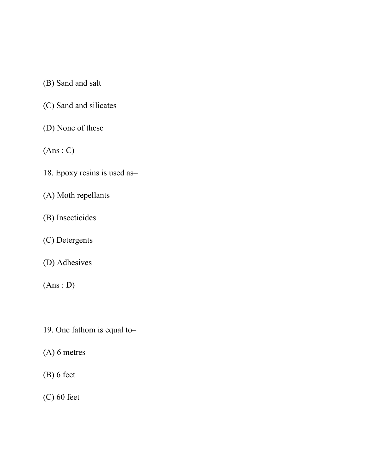(B) Sand and salt

- (C) Sand and silicates
- (D) None of these

 $(Ans: C)$ 

- 18. Epoxy resins is used as–
- (A) Moth repellants
- (B) Insecticides
- (C) Detergents
- (D) Adhesives

 $(Ans: D)$ 

- 19. One fathom is equal to–
- (A) 6 metres
- (B) 6 feet

(C) 60 feet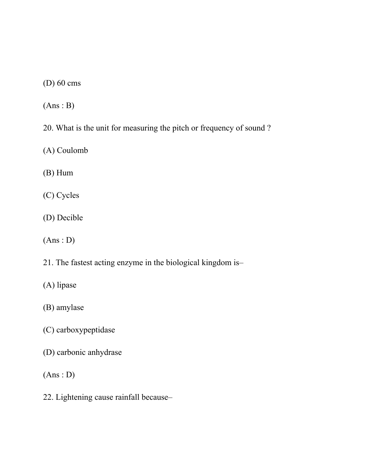(D) 60 cms

 $(Ans : B)$ 

20. What is the unit for measuring the pitch or frequency of sound ?

(A) Coulomb

(B) Hum

(C) Cycles

(D) Decible

 $(Ans: D)$ 

21. The fastest acting enzyme in the biological kingdom is–

(A) lipase

(B) amylase

(C) carboxypeptidase

(D) carbonic anhydrase

 $(Ans: D)$ 

22. Lightening cause rainfall because–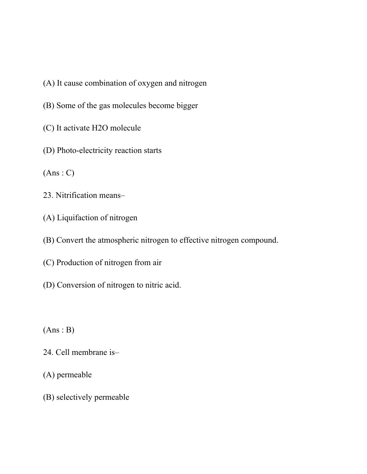- (A) It cause combination of oxygen and nitrogen
- (B) Some of the gas molecules become bigger
- (C) It activate H2O molecule
- (D) Photo-electricity reaction starts

 $(Ans: C)$ 

- 23. Nitrification means–
- (A) Liquifaction of nitrogen
- (B) Convert the atmospheric nitrogen to effective nitrogen compound.
- (C) Production of nitrogen from air
- (D) Conversion of nitrogen to nitric acid.

 $(Ans : B)$ 

- 24. Cell membrane is–
- (A) permeable
- (B) selectively permeable